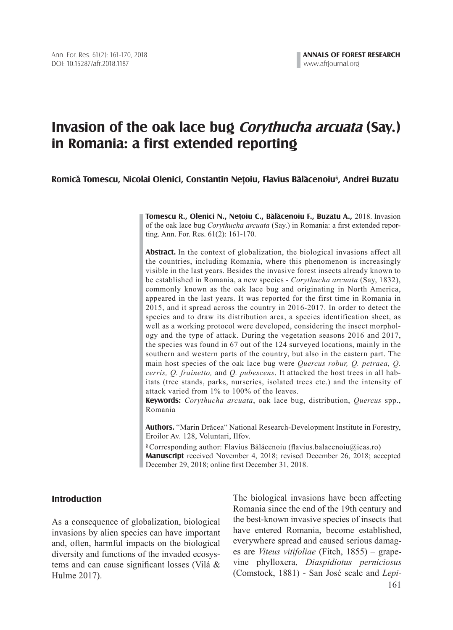# **Invasion of the oak lace bug Corythucha arcuata (Say.) in Romania: a first extended reporting**

# **Romica Tomescu, Nicolai Olenici, Constantin Netoiu, Flavius Balacenoiu**§ **, Andrei Buzatu ^ ^ , ^**

**Tomescu R., Olenici N., Netoiu C., Balacenoiu F., Buzatu A.,** 2018. Invasion **^ , ^** of the oak lace bug *Corythucha arcuata* (Say.) in Romania: a first extended reporting. Ann. For. Res. 61(2): 161-170.

**Abstract.** In the context of globalization, the biological invasions affect all the countries, including Romania, where this phenomenon is increasingly visible in the last years. Besides the invasive forest insects already known to be established in Romania, a new species - *Corythucha arcuata* (Say, 1832), commonly known as the oak lace bug and originating in North America, appeared in the last years. It was reported for the first time in Romania in 2015, and it spread across the country in 2016-2017. In order to detect the species and to draw its distribution area, a species identification sheet, as well as a working protocol were developed, considering the insect morphology and the type of attack. During the vegetation seasons 2016 and 2017, the species was found in 67 out of the 124 surveyed locations, mainly in the southern and western parts of the country, but also in the eastern part. The main host species of the oak lace bug were *Quercus robur, Q. petraea, Q. cerris, Q. frainetto,* and *Q. pubescens*. It attacked the host trees in all habitats (tree stands, parks, nurseries, isolated trees etc.) and the intensity of attack varied from 1% to 100% of the leaves.

**Keywords:** *Corythucha arcuata*, oak lace bug, distribution, *Quercus* spp., Romania

**Authors.** "Marin Drăcea" National Research-Development Institute in Forestry, Eroilor Av. 128, Voluntari, Ilfov.

**§** Corresponding author: Flavius Bălăcenoiu (flavius.balacenoiu@icas.ro) **Manuscript** received November 4, 2018; revised December 26, 2018; accepted December 29, 2018; online first December 31, 2018.

# **Introduction**

As a consequence of globalization, biological invasions by alien species can have important and, often, harmful impacts on the biological diversity and functions of the invaded ecosystems and can cause significant losses (Vilá & Hulme 2017).

161 The biological invasions have been affecting Romania since the end of the 19th century and the best-known invasive species of insects that have entered Romania, become established, everywhere spread and caused serious damages are *Viteus vitifoliae* (Fitch, 1855) – grapevine phylloxera, *Diaspidiotus perniciosus* (Comstock, 1881) - San José scale and *Lepi-*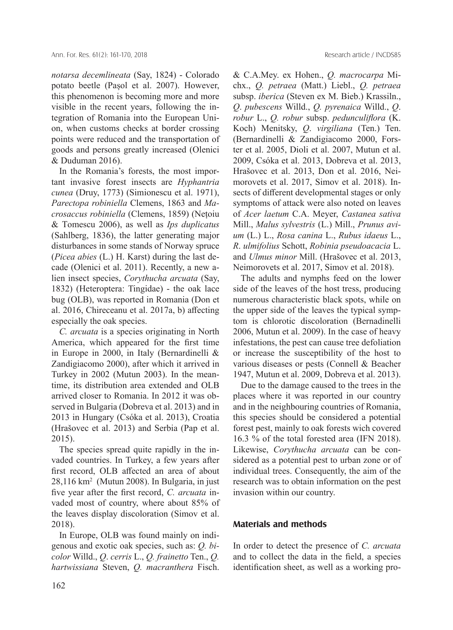*notarsa decemlineata* (Say, 1824) - Colorado potato beetle (Pașol et al. 2007). However, this phenomenon is becoming more and more visible in the recent years, following the integration of Romania into the European Union, when customs checks at border crossing points were reduced and the transportation of goods and persons greatly increased (Olenici & Duduman 2016).

In the Romania's forests, the most important invasive forest insects are *Hyphantria cunea* (Druy, 1773) (Simionescu et al. 1971), *Parectopa robiniella* Clemens, 1863 and *Macrosaccus robiniella* (Clemens, 1859) (Nețoiu & Tomescu 2006), as well as *Ips duplicatus* (Sahlberg, 1836), the latter generating major disturbances in some stands of Norway spruce (*Picea abies* (L.) H. Karst) during the last decade (Olenici et al. 2011). Recently, a new alien insect species, *Corythucha arcuata* (Say, 1832) (Heteroptera: Tingidae) - the oak lace bug (OLB), was reported in Romania (Don et al. 2016, Chireceanu et al. 2017a, b) affecting especially the oak species.

*C. arcuata* is a species originating in North America, which appeared for the first time in Europe in 2000, in Italy (Bernardinelli & Zandigiacomo 2000), after which it arrived in Turkey in 2002 (Mutun 2003). In the meantime, its distribution area extended and OLB arrived closer to Romania. In 2012 it was observed in Bulgaria (Dobreva et al. 2013) and in 2013 in Hungary (Csóka et al. 2013), Croatia (Hrašovec et al. 2013) and Serbia (Pap et al. 2015).

The species spread quite rapidly in the invaded countries. In Turkey, a few years after first record, OLB affected an area of about 28,116 km<sup>2</sup> (Mutun 2008). In Bulgaria, in just five year after the first record, *C. arcuata* invaded most of country, where about 85% of the leaves display discoloration (Simov et al. 2018).

In Europe, OLB was found mainly on indigenous and exotic oak species, such as: *Q. bicolor* Willd., *Q*. *cerris* L., *Q. frainetto* Ten., *Q. hartwissiana* Steven, *Q. macranthera* Fisch. & C.A.Mey. ex Hohen., *Q. macrocarpa* Michx., *Q. petraea* (Matt.) Liebl., *Q. petraea* subsp. *iberica* (Steven ex M. Bieb.) Krassiln., *Q*. *pubescens* Willd., *Q. pyrenaica* Willd., *Q*. *robur* L., *Q. robur* subsp. *pedunculiflora* (K. Koch) Menitsky, *Q*. *virgiliana* (Ten.) Ten. (Bernardinelli & Zandigiacomo 2000, Forster et al. 2005, Dioli et al. 2007, Mutun et al. 2009, Csóka et al. 2013, Dobreva et al. 2013, Hrašovec et al. 2013, Don et al. 2016, Neimorovets et al. 2017, Simov et al. 2018). Insects of different developmental stages or only symptoms of attack were also noted on leaves of *Acer laetum* C.A. Meyer, *Castanea sativa* Mill., *Malus sylvestris* (L.) Mill., *Prunus avium* (L.) L., *Rosa canina* L., *Rubus idaeus* L., *R*. *ulmifolius* Schott, *Robinia pseudoacacia* L. and *Ulmus minor* Mill. (Hrašovec et al. 2013, Neimorovets et al. 2017, Simov et al. 2018).

The adults and nymphs feed on the lower side of the leaves of the host tress, producing numerous characteristic black spots, while on the upper side of the leaves the typical symptom is chlorotic discoloration (Bernadinelli 2006, Mutun et al. 2009). In the case of heavy infestations, the pest can cause tree defoliation or increase the susceptibility of the host to various diseases or pests (Connell & Beacher 1947, Mutun et al. 2009, Dobreva et al. 2013).

Due to the damage caused to the trees in the places where it was reported in our country and in the neighbouring countries of Romania, this species should be considered a potential forest pest, mainly to oak forests wich covered 16.3 % of the total forested area (IFN 2018). Likewise, *Corythucha arcuata* can be considered as a potential pest to urban zone or of individual trees. Consequently, the aim of the research was to obtain information on the pest invasion within our country.

# **Materials and methods**

In order to detect the presence of *C. arcuata* and to collect the data in the field, a species identification sheet, as well as a working pro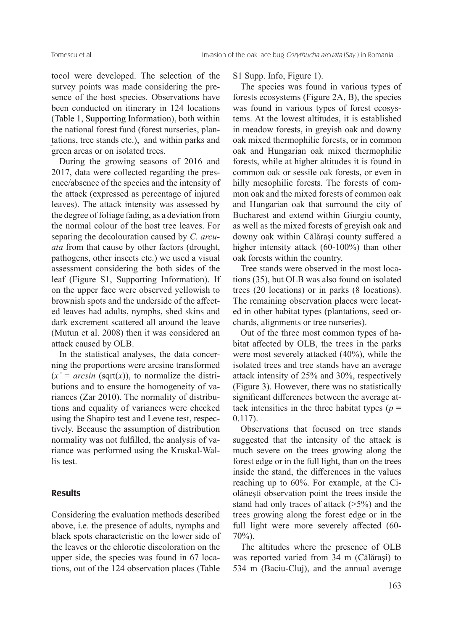tocol were developed. The selection of the survey points was made considering the presence of the host species. Observations have been conducted on itinerary in 124 locations (Table 1, Supporting Information), both within the national forest fund (forest nurseries, plantations, tree stands etc.), and within parks and green areas or on isolated trees. ,

During the growing seasons of 2016 and 2017, data were collected regarding the presence/absence of the species and the intensity of the attack (expressed as percentage of injured leaves). The attack intensity was assessed by the degree of foliage fading, as a deviation from the normal colour of the host tree leaves. For separing the decolouration caused by *C. arcuata* from that cause by other factors (drought, pathogens, other insects etc.) we used a visual assessment considering the both sides of the leaf (Figure S1, Supporting Information). If on the upper face were observed yellowish to brownish spots and the underside of the affected leaves had adults, nymphs, shed skins and dark excrement scattered all around the leave (Mutun et al. 2008) then it was considered an attack caused by OLB.

In the statistical analyses, the data concerning the proportions were arcsine transformed  $(x' = arcsin$  (sqrt $(x)$ ), to normalize the distributions and to ensure the homogeneity of variances (Zar 2010). The normality of distributions and equality of variances were checked using the Shapiro test and Levene test, respectively. Because the assumption of distribution normality was not fulfilled, the analysis of variance was performed using the Kruskal-Wallis test.

#### **Results**

Considering the evaluation methods described above, i.e. the presence of adults, nymphs and black spots characteristic on the lower side of the leaves or the chlorotic discoloration on the upper side, the species was found in 67 locations, out of the 124 observation places (Table

#### S1 Supp. Info, Figure 1).

The species was found in various types of forests ecosystems (Figure 2A, B), the species was found in various types of forest ecosystems. At the lowest altitudes, it is established in meadow forests, in greyish oak and downy oak mixed thermophilic forests, or in common oak and Hungarian oak mixed thermophilic forests, while at higher altitudes it is found in common oak or sessile oak forests, or even in hilly mesophilic forests. The forests of common oak and the mixed forests of common oak and Hungarian oak that surround the city of Bucharest and extend within Giurgiu county, as well as the mixed forests of greyish oak and downy oak within Călărași county suffered a higher intensity attack (60-100%) than other oak forests within the country.

Tree stands were observed in the most locations (35), but OLB was also found on isolated trees (20 locations) or in parks (8 locations). The remaining observation places were located in other habitat types (plantations, seed orchards, alignments or tree nurseries).

Out of the three most common types of habitat affected by OLB, the trees in the parks were most severely attacked (40%), while the isolated trees and tree stands have an average attack intensity of 25% and 30%, respectively (Figure 3). However, there was no statistically significant differences between the average attack intensities in the three habitat types  $(p =$ 0.117).

Observations that focused on tree stands suggested that the intensity of the attack is much severe on the trees growing along the forest edge or in the full light, than on the trees inside the stand, the differences in the values reaching up to 60%. For example, at the Ciolănești observation point the trees inside the stand had only traces of attack (>5%) and the trees growing along the forest edge or in the full light were more severely affected (60- 70%).

The altitudes where the presence of OLB was reported varied from 34 m (Călăraşi) to 534 m (Baciu-Cluj), and the annual average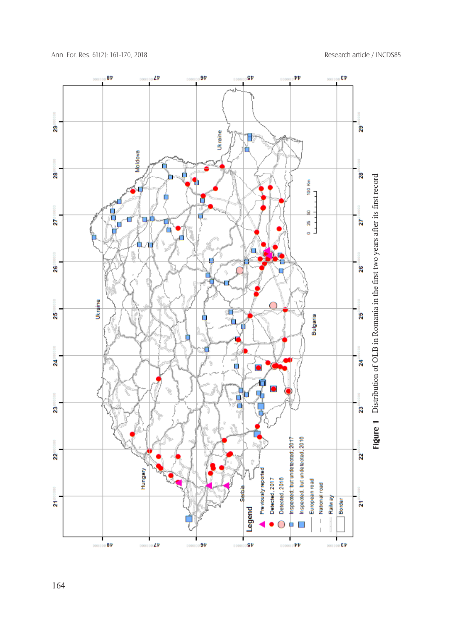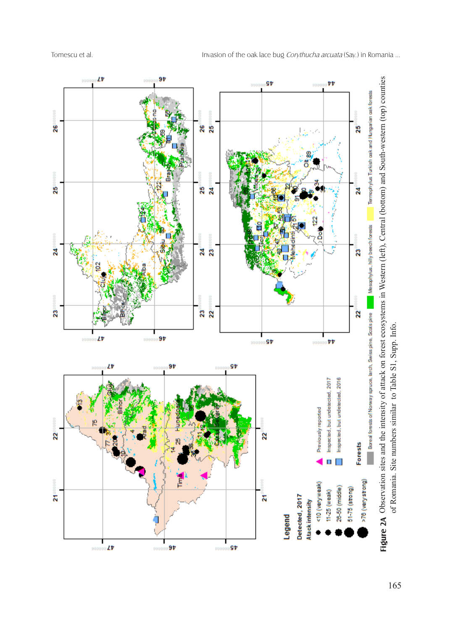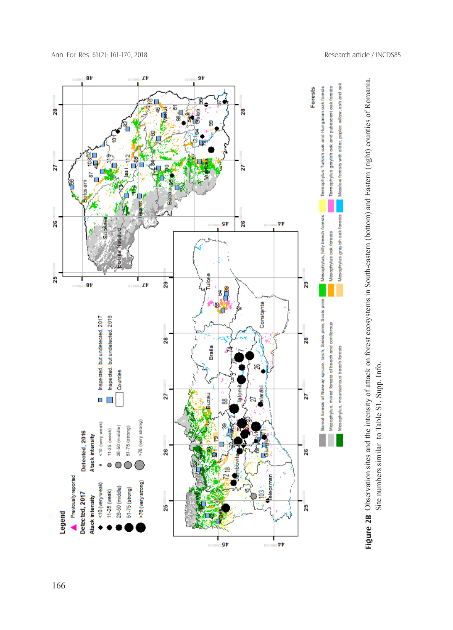

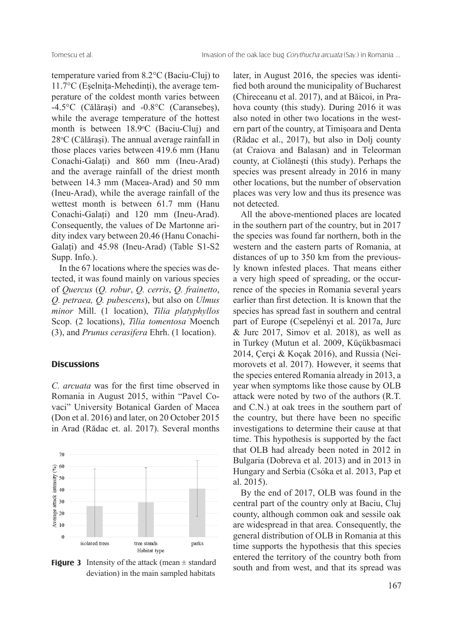temperature varied from 8.2°C (Baciu-Cluj) to 11.7°C (Eşelniţa-Mehedinţi), the average temperature of the coldest month varies between -4.5°C (Călăraşi) and -0.8°C (Caransebeș), while the average temperature of the hottest month is between 18.9°C (Baciu-Cluj) and 28°C (Călărași). The annual average rainfall in those places varies between 419.6 mm (Hanu Conachi-Galaţi) and 860 mm (Ineu-Arad) and the average rainfall of the driest month between 14.3 mm (Macea-Arad) and 50 mm (Ineu-Arad), while the average rainfall of the wettest month is between 61.7 mm (Hanu Conachi-Galați) and 120 mm (Ineu-Arad). Consequently, the values of De Martonne aridity index vary between 20.46 (Hanu Conachi-Galați) and 45.98 (Ineu-Arad) (Table S1-S2 Supp. Info.).

In the 67 locations where the species was detected, it was found mainly on various species of *Quercus* (*Q. robur*, *Q. cerris*, *Q. frainetto*, *Q. petraea, Q. pubescens*), but also on *Ulmus minor* Mill. (1 location), *Tilia platyphyllos*  Scop. (2 locations), *Tilia tomentosa* Moench (3), and *Prunus cerasifera* Ehrh. (1 location).

### **Discussions**

*C. arcuata* was for the first time observed in Romania in August 2015, within "Pavel Covaci" University Botanical Garden of Macea (Don et al. 2016) and later, on 20 October 2015 in Arad (Rădac et. al. 2017). Several months



deviation) in the main sampled habitats **Figure 3** Intensity of the attack (mean  $\pm$  standard

later, in August 2016, the species was identified both around the municipality of Bucharest (Chireceanu et al. 2017), and at Băicoi, in Prahova county (this study). During 2016 it was also noted in other two locations in the western part of the country, at Timișoara and Denta (Rădac et al., 2017), but also in Dolj county (at Craiova and Balasan) and in Teleorman county, at Ciolănești (this study). Perhaps the species was present already in 2016 in many other locations, but the number of observation places was very low and thus its presence was not detected.

All the above-mentioned places are located in the southern part of the country, but in 2017 the species was found far northern, both in the western and the eastern parts of Romania, at distances of up to 350 km from the previously known infested places. That means either a very high speed of spreading, or the occurrence of the species in Romania several years earlier than first detection. It is known that the species has spread fast in southern and central part of Europe (Csepelényi et al. 2017a, Jurc  $& \text{Jurc } 2017, \text{ Simon et al. } 2018), \text{ as well as}$ in Turkey (Mutun et al. 2009, Küçükbasmaci 2014, Çerçi & Koçak 2016), and Russia (Neimorovets et al. 2017). However, it seems that the species entered Romania already in 2013, a year when symptoms like those cause by OLB attack were noted by two of the authors (R.T. and C.N.) at oak trees in the southern part of the country, but there have been no specific investigations to determine their cause at that time. This hypothesis is supported by the fact that OLB had already been noted in 2012 in Bulgaria (Dobreva et al. 2013) and in 2013 in Hungary and Serbia (Csóka et al. 2013, Pap et al. 2015).

By the end of 2017, OLB was found in the central part of the country only at Baciu, Cluj county, although common oak and sessile oak are widespread in that area. Consequently, the general distribution of OLB in Romania at this time supports the hypothesis that this species entered the territory of the country both from south and from west, and that its spread was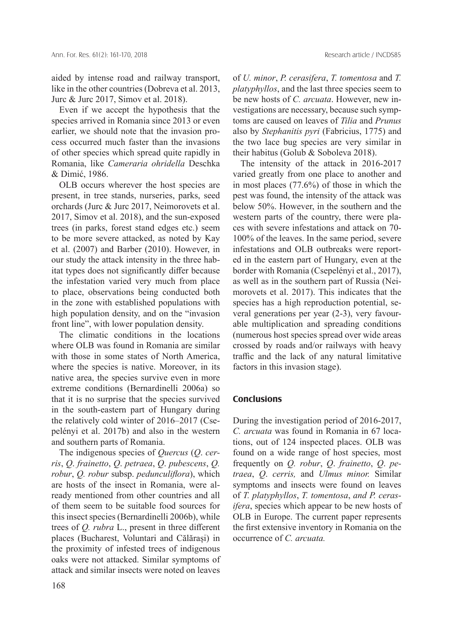aided by intense road and railway transport, like in the other countries (Dobreva et al. 2013, Jurc & Jurc 2017, Simov et al. 2018).

Even if we accept the hypothesis that the species arrived in Romania since 2013 or even earlier, we should note that the invasion process occurred much faster than the invasions of other species which spread quite rapidly in Romania, like *Cameraria ohridella* Deschka & Dimić, 1986.

OLB occurs wherever the host species are present, in tree stands, nurseries, parks, seed orchards (Jurc & Jurc 2017, Neimorovets et al. 2017, Simov et al. 2018), and the sun-exposed trees (in parks, forest stand edges etc.) seem to be more severe attacked, as noted by Kay et al. (2007) and Barber (2010). However, in our study the attack intensity in the three habitat types does not significantly differ because the infestation varied very much from place to place, observations being conducted both in the zone with established populations with high population density, and on the "invasion front line", with lower population density.

The climatic conditions in the locations where OLB was found in Romania are similar with those in some states of North America, where the species is native. Moreover, in its native area, the species survive even in more extreme conditions (Bernardinelli 2006a) so that it is no surprise that the species survived in the south-eastern part of Hungary during the relatively cold winter of 2016–2017 (Csepelényi et al. 2017b) and also in the western and southern parts of Romania.

The indigenous species of *Quercus* (*Q*. *cerris*, *Q*. *frainetto*, *Q*. *petraea*, *Q*. *pubescens*, *Q. robur*, *Q. robur* subsp. *pedunculiflora*), which are hosts of the insect in Romania, were already mentioned from other countries and all of them seem to be suitable food sources for this insect species (Bernardinelli 2006b), while trees of *Q. rubra* L., present in three different places (Bucharest, Voluntari and Călărași) in the proximity of infested trees of indigenous oaks were not attacked. Similar symptoms of attack and similar insects were noted on leaves

of *U. minor*, *P. cerasifera*, *T. tomentosa* and *T. platyphyllos*, and the last three species seem to be new hosts of *C. arcuata*. However, new investigations are necessary, because such symptoms are caused on leaves of *Tilia* and *Prunus* also by *Stephanitis pyri* (Fabricius, 1775) and the two lace bug species are very similar in their habitus (Golub & Soboleva 2018).

The intensity of the attack in 2016-2017 varied greatly from one place to another and in most places (77.6%) of those in which the pest was found, the intensity of the attack was below 50%. However, in the southern and the western parts of the country, there were places with severe infestations and attack on 70- 100% of the leaves. In the same period, severe infestations and OLB outbreaks were reported in the eastern part of Hungary, even at the border with Romania (Csepelényi et al., 2017), as well as in the southern part of Russia (Neimorovets et al. 2017). This indicates that the species has a high reproduction potential, several generations per year (2-3), very favourable multiplication and spreading conditions (numerous host species spread over wide areas crossed by roads and/or railways with heavy traffic and the lack of any natural limitative factors in this invasion stage).

#### **Conclusions**

During the investigation period of 2016-2017, *C. arcuata* was found in Romania in 67 locations, out of 124 inspected places. OLB was found on a wide range of host species, most frequently on *Q. robur*, *Q*. *frainetto*, *Q*. *petraea*, *Q*. *cerris,* and *Ulmus minor.* Similar symptoms and insects were found on leaves of *T. platyphyllos*, *T. tomentosa*, *and P. cerasifera*, species which appear to be new hosts of OLB in Europe. The current paper represents the first extensive inventory in Romania on the occurrence of *C. arcuata.*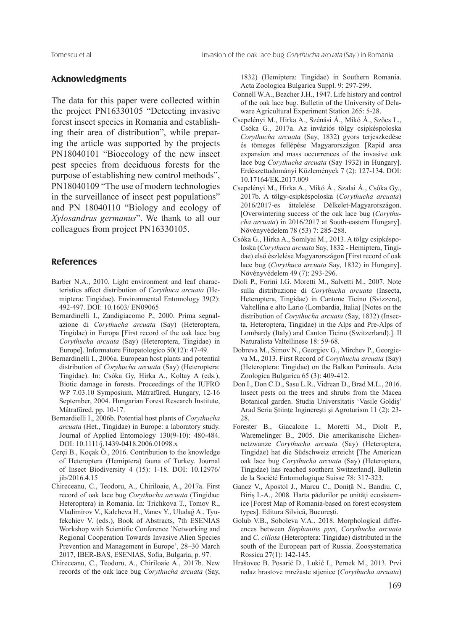#### **Acknowledgments**

The data for this paper were collected within the project PN16330105 "Detecting invasive forest insect species in Romania and establishing their area of distribution", while preparing the article was supported by the projects PN18040101 "Bioecology of the new insect pest species from deciduous forests for the purpose of establishing new control methods", PN18040109 "The use of modern technologies in the surveillance of insect pest populations" and PN 18040110 "Biology and ecology of *Xylosandrus germanus*". We thank to all our colleagues from project PN16330105.

# **References**

- Barber N.A., 2010. Light environment and leaf characteristics affect distribution of *Corythuca arcuata* (Hemiptera: Tingidae). Environmental Entomology 39(2): 492-497. DOI: 10.1603/ EN09065
- Bernardinelli I., Zandigiacomo P., 2000. Prima segnalazione di *Corythucha arcuata* (Say) (Heteroptera, Tingidae) in Europa [First record of the oak lace bug *Corythucha arcuata* (Say) (Heteroptera, Tingidae) in Europe]. Informatore Fitopatologico 50(12): 47-49.
- Bernardinelli I., 2006a. European host plants and potential distribution of *Coryhucha arcuata* (Say) (Heteroptera: Tingidae). In: Csóka Gy, Hirka A., Koltay A (eds.), Biotic damage in forests. Proceedings of the IUFRO WP 7.03.10 Symposium, Mátrafüred, Hungary, 12-16 September, 2004. Hungarian Forest Research Institute, Mátrafüred, pp. 10-17.
- Bernardielli I., 2006b. Potential host plants of *Corythucha arcuata* (Het., Tingidae) in Europe: a laboratory study. Journal of Applied Entomology 130(9-10): 480-484. DOI: 10.1111/j.1439-0418.2006.01098.x
- Çerçi B., Koçak Ö., 2016. Contribution to the knowledge of Heteroptera (Hemiptera) fauna of Turkey. Journal of Insect Biodiversity 4 (15): 1-18. DOI: 10.12976/ jib/2016.4.15
- Chireceanu, C., Teodoru, A., Chiriloaie, A., 2017a. First record of oak lace bug *Corythucha arcuata* (Tingidae: Heteroptera) in Romania. In: Trichkova T., Tomov R., Vladimirov V., Kalcheva H., Vanev Y., Uludağ A., Tyufekchiev V. (eds.), Book of Abstracts, 7th ESENIAS Workshop with Scientific Conference 'Networking and Regional Cooperation Towards Invasive Alien Species Prevention and Management in Europe', 28–30 March 2017, IBER-BAS, ESENIAS, Sofia, Bulgaria, p. 97.
- Chireceanu, C., Teodoru, A., Chiriloaie A., 2017b. New records of the oak lace bug *Corythucha arcuata* (Say,

1832) (Hemiptera: Tingidae) in Southern Romania. Acta Zoologica Bulgarica Suppl. 9: 297-299.

- Connell W.A., Beacher J.H., 1947. Life history and control of the oak lace bug. Bulletin of the University of Delaware Agricultural Experiment Station 265: 5-28.
- Csepelényi M., Hirka A., Szénási Á., Mikó Á., Szőcs L., Csóka G., 2017a. Az inváziós tölgy csipkéspoloska *Corythucha arcuata* (Say, 1832) gyors terjeszkedése és tömeges fellépése Magyarországon [Rapid area expansion and mass occurrences of the invasive oak lace bug *Corythucha arcuata* (Say 1932) in Hungary]. Erdészettudományi Közlemények 7 (2): 127-134. DOI: 10.17164/EK.2017.009
- Csepelényi M., Hirka A., Mikó Á., Szalai Á., Csóka Gy., 2017b. A tölgy-csipkéspoloska (*Corythucha arcuata*) 2016/2017-es áttelelése Délkelet-Magyarországon. [Overwintering success of the oak lace bug (*Corythucha arcuata*) in 2016/2017 at South-eastern Hungary]. Növényvédelem 78 (53) 7: 285-288.
- Csóka G., Hirka A., Somlyai M., 2013. A tölgy csipkéspoloska (*Corythuca arcuata* Say, 1832 - Hemiptera, Tingidae) első észlelése Magyarországon [First record of oak lace bug (*Corythuca arcuata* Say, 1832) in Hungary]. Növényvédelem 49 (7): 293-296.
- Dioli P., Forini I.G. Moretti M., Salvetti M., 2007. Note sulla distribuzione di *Corythucha arcuata* (Insecta, Heteroptera, Tingidae) in Cantone Ticino (Svizzera), Valtellina e alto Lario (Lombardia, Italia) [Notes on the distribution of *Corythucha arcuata* (Say, 1832) (Insecta, Heteroptera, Tingidae) in the Alps and Pre-Alps of Lombardy (Italy) and Canton Ticino (Switzerland).]. Il Naturalista Valtellinese 18: 59-68.
- Dobreva M., Simov N., Georgiev G., Mirchev P., Georgieva M., 2013. First Record of *Corythucha arcuata* (Say) (Heteroptera: Tingidae) on the Balkan Peninsula. Acta Zoologica Bulgarica 65 (3): 409-412.
- Don I., Don C.D., Sasu L.R., Vidrean D., Brad M.L., 2016. Insect pests on the trees and shrubs from the Macea Botanical garden. Studia Universitatis 'Vasile Goldiş' Arad Seria Ştiinţe Inginereşti şi Agroturism 11 (2): 23- 28.
- Forester B., Giacalone I., Moretti M., Diolt P., Waremelinger B., 2005. Die amerikanische Eichennetzwanze *Corythucha arcuata* (Say) (Heteroptera, Tingidae) hat die Südschweiz erreicht [The American oak lace bug *Corythucha arcuata* (Say) (Heteroptera, Tingidae) has reached southern Switzerland]. Bulletin de la Société Entomologique Suisse 78: 317-323.
- Gancz V., Apostol J., Marcu C., Doniţă N., Bandiu. C, Biriş I.-A., 2008. Harta pădurilor pe unităţi ecosistemice [Forest Map of Romania-based on forest ecosystem types]. Editura Silvică, Bucureşti.
- Golub V.B., Soboleva V.A., 2018. Morphological differences between *Stephanitis pyri*, *Corythucha arcuata*  and *C. ciliata* (Heteroptera: Tingidae) distributed in the south of the European part of Russia. Zoosystematica Rossica 27(1): 142-145.
- Hrašovec B. Posarić D., Lukić I., Pernek M., 2013. Prvi nalaz hrastove mrežaste stjenice (*Corythucha arcuata*)